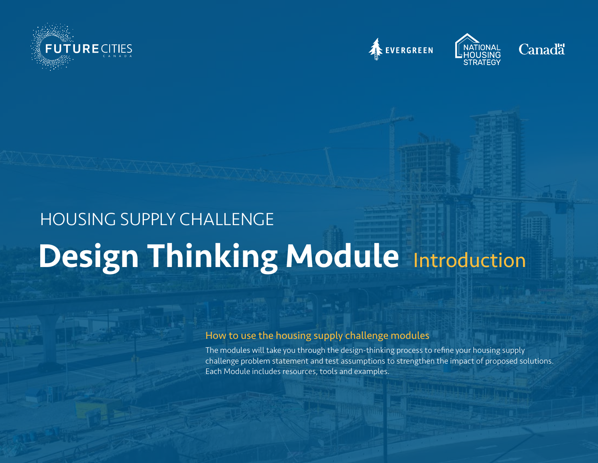







## Design Thinking Module Introduction HOUSING SUPPLY CHALLENGE

## How to use the housing supply challenge modules

The modules will take you through the design-thinking process to refine your housing supply challenge problem statement and test assumptions to strengthen the impact of proposed solutions. Each Module includes resources, tools and examples.